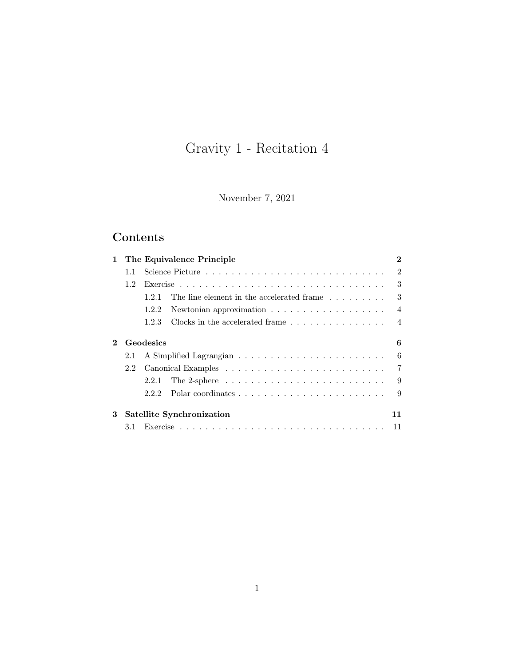# Gravity 1 - Recitation 4

November 7, 2021

## Contents

| 1 |               | The Equivalence Principle                                                              | $\bf{2}$       |
|---|---------------|----------------------------------------------------------------------------------------|----------------|
|   | 1.1           |                                                                                        | $\mathfrak{D}$ |
|   | $1.2^{\circ}$ |                                                                                        | 3              |
|   |               | The line element in the accelerated frame<br>1.2.1                                     | 3              |
|   |               | Newtonian approximation $\ldots \ldots \ldots \ldots \ldots$<br>1.2.2                  | $\overline{4}$ |
|   |               | 1.2.3                                                                                  | $\overline{4}$ |
|   |               | Geodesics                                                                              | 6              |
|   | 2.1           |                                                                                        | 6              |
|   | 2.2           |                                                                                        | 7              |
|   |               | The 2-sphere $\ldots \ldots \ldots \ldots \ldots \ldots \ldots \ldots \ldots$<br>2.2.1 | 9              |
|   |               | 2.2.2                                                                                  | 9              |
| 3 |               | Satellite Synchronization                                                              | 11             |
|   | 3.1           |                                                                                        | 11             |
|   |               |                                                                                        |                |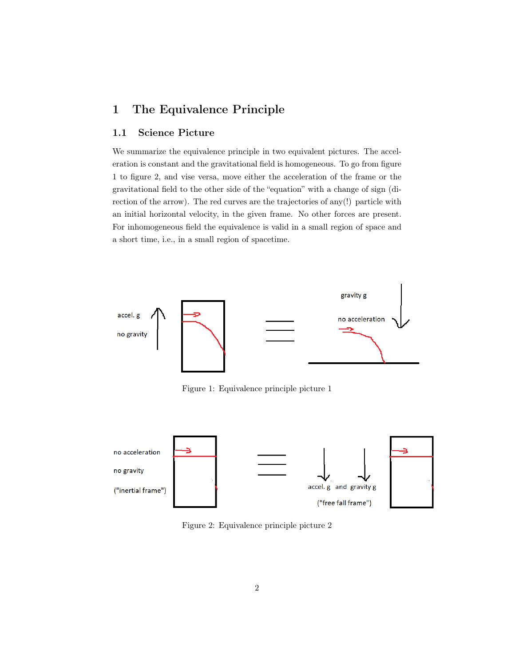### <span id="page-1-0"></span>1 The Equivalence Principle

### <span id="page-1-1"></span>1.1 Science Picture

We summarize the equivalence principle in two equivalent pictures. The acceleration is constant and the gravitational field is homogeneous. To go from figure 1 to figure 2, and vise versa, move either the acceleration of the frame or the gravitational field to the other side of the "equation" with a change of sign (direction of the arrow). The red curves are the trajectories of any(!) particle with an initial horizontal velocity, in the given frame. No other forces are present. For inhomogeneous field the equivalence is valid in a small region of space and a short time, i.e., in a small region of spacetime.



Figure 1: Equivalence principle picture 1



Figure 2: Equivalence principle picture 2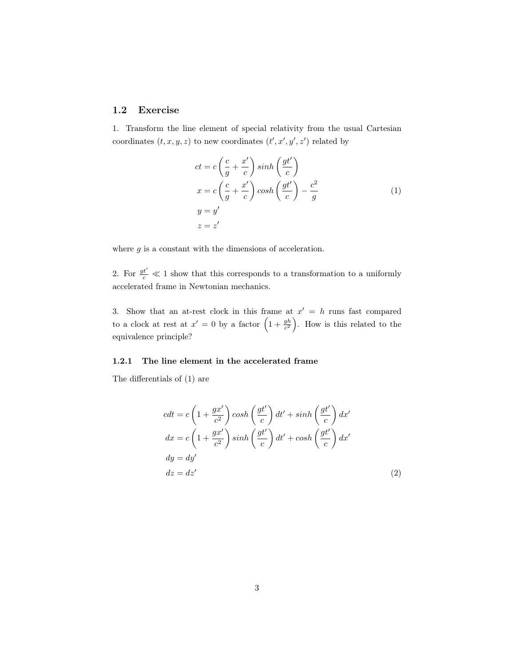### <span id="page-2-0"></span>1.2 Exercise

1. Transform the line element of special relativity from the usual Cartesian coordinates  $(t, x, y, z)$  to new coordinates  $(t', x', y', z')$  related by

<span id="page-2-2"></span>
$$
ct = c\left(\frac{c}{g} + \frac{x'}{c}\right) \sinh\left(\frac{gt'}{c}\right)
$$
  

$$
x = c\left(\frac{c}{g} + \frac{x'}{c}\right) \cosh\left(\frac{gt'}{c}\right) - \frac{c^2}{g}
$$
  

$$
y = y'
$$
  

$$
z = z'
$$
 (1)

where  $g$  is a constant with the dimensions of acceleration.

2. For  $\frac{gt'}{c} \ll 1$  show that this corresponds to a transformation to a uniformly accelerated frame in Newtonian mechanics.

3. Show that an at-rest clock in this frame at  $x' = h$  runs fast compared to a clock at rest at  $x' = 0$  by a factor  $\left(1 + \frac{gh}{c^2}\right)$ . How is this related to the equivalence principle?

#### <span id="page-2-1"></span>1.2.1 The line element in the accelerated frame

The differentials of [\(1\)](#page-2-2) are

$$
cdt = c \left( 1 + \frac{gx'}{c^2} \right) \cosh\left(\frac{gt'}{c}\right) dt' + \sinh\left(\frac{gt'}{c}\right) dx'
$$
  
\n
$$
dx = c \left( 1 + \frac{gx'}{c^2} \right) \sinh\left(\frac{gt'}{c}\right) dt' + \cosh\left(\frac{gt'}{c}\right) dx'
$$
  
\n
$$
dy = dy'
$$
  
\n
$$
dz = dz'
$$
\n(2)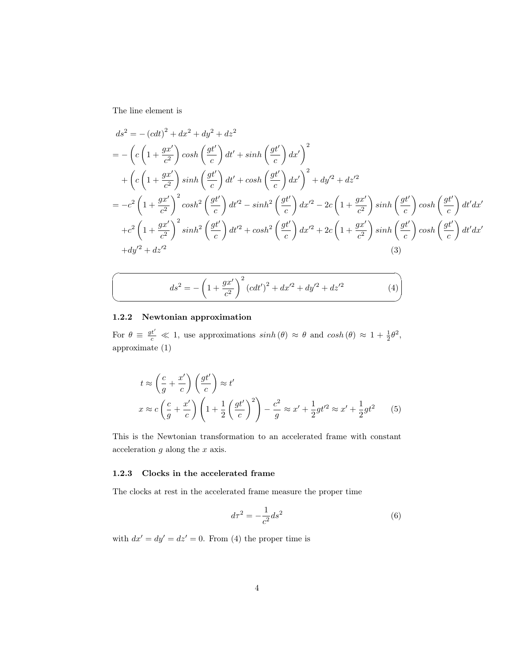The line element is

 $\sqrt{2}$ 

✍

$$
ds^{2} = -(cdt)^{2} + dx^{2} + dy^{2} + dz^{2}
$$
  
=  $-\left(c\left(1 + \frac{gx'}{c^{2}}\right)\cosh\left(\frac{gt'}{c}\right)dt' + \sinh\left(\frac{gt'}{c}\right)dx'\right)^{2}$   
+  $\left(c\left(1 + \frac{gx'}{c^{2}}\right)\sinh\left(\frac{gt'}{c}\right)dt' + \cosh\left(\frac{gt'}{c}\right)dx'\right)^{2} + dy'^{2} + dz'^{2}$   
=  $-c^{2}\left(1 + \frac{gx'}{c^{2}}\right)^{2}\cosh^{2}\left(\frac{gt'}{c}\right)dt'^{2} - \sinh^{2}\left(\frac{gt'}{c}\right)dx'^{2} - 2c\left(1 + \frac{gx'}{c^{2}}\right)\sinh\left(\frac{gt'}{c}\right)\cosh\left(\frac{gt'}{c}\right)dt'dx'$   
+  $c^{2}\left(1 + \frac{gx'}{c^{2}}\right)^{2}\sinh^{2}\left(\frac{gt'}{c}\right)dt'^{2} + \cosh^{2}\left(\frac{gt'}{c}\right)dx'^{2} + 2c\left(1 + \frac{gx'}{c^{2}}\right)\sinh\left(\frac{gt'}{c}\right)\cosh\left(\frac{gt'}{c}\right)dt'dx'$   
+  $dy'^{2} + dz'^{2}$  (3)

<span id="page-3-2"></span>
$$
ds^{2} = -\left(1 + \frac{gx'}{c^{2}}\right)^{2} \left(cdt'\right)^{2} + dx'^{2} + dy'^{2} + dz'^{2}
$$
 (4)

### <span id="page-3-0"></span>1.2.2 Newtonian approximation

For  $\theta \equiv \frac{gt'}{c} \ll 1$ , use approximations  $sinh(\theta) \approx \theta$  and  $cosh(\theta) \approx 1 + \frac{1}{2}\theta^2$ , approximate [\(1\)](#page-2-2)

$$
t \approx \left(\frac{c}{g} + \frac{x'}{c}\right) \left(\frac{gt'}{c}\right) \approx t'
$$
  

$$
x \approx c \left(\frac{c}{g} + \frac{x'}{c}\right) \left(1 + \frac{1}{2} \left(\frac{gt'}{c}\right)^2\right) - \frac{c^2}{g} \approx x' + \frac{1}{2}gt'^2 \approx x' + \frac{1}{2}gt^2 \qquad (5)
$$

This is the Newtonian transformation to an accelerated frame with constant acceleration  $g$  along the  $x$  axis.

#### <span id="page-3-1"></span>1.2.3 Clocks in the accelerated frame

The clocks at rest in the accelerated frame measure the proper time

$$
d\tau^2 = -\frac{1}{c^2}ds^2\tag{6}
$$

with  $dx' = dy' = dz' = 0$ . From [\(4\)](#page-3-2) the proper time is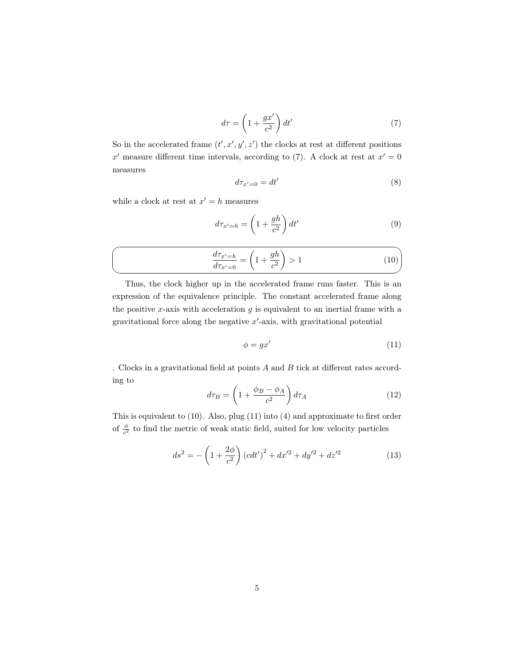<span id="page-4-0"></span>
$$
d\tau = \left(1 + \frac{gx'}{c^2}\right) dt' \tag{7}
$$

So in the accelerated frame  $(t', x', y', z')$  the clocks at rest at different positions x' measure different time intervals, according to [\(7\)](#page-4-0). A clock at rest at  $x' = 0$ measures

$$
d\tau_{x'=0} = dt' \tag{8}
$$

while a clock at rest at  $x' = h$  measures

<span id="page-4-1"></span>
$$
d\tau_{x'=h} = \left(1 + \frac{gh}{c^2}\right)dt'
$$
\n(9)

$$
\frac{d\tau_{x'=h}}{d\tau_{x'=0}} = \left(1 + \frac{gh}{c^2}\right) > 1\tag{10}
$$

Thus, the clock higher up in the accelerated frame runs faster. This is an expression of the equivalence principle. The constant accelerated frame along the positive x-axis with acceleration  $g$  is equivalent to an inertial frame with a gravitational force along the negative  $x'$ -axis, with gravitational potential

<span id="page-4-2"></span>
$$
\phi = gx' \tag{11}
$$

. Clocks in a gravitational field at points A and B tick at different rates according to

$$
d\tau_B = \left(1 + \frac{\phi_B - \phi_A}{c^2}\right) d\tau_A \tag{12}
$$

This is equivalent to [\(10\)](#page-4-1). Also, plug [\(11\)](#page-4-2) into [\(4\)](#page-3-2) and approximate to first order of  $\frac{\phi}{c^2}$  to find the metric of weak static field, suited for low velocity particles

$$
ds^{2} = -\left(1 + \frac{2\phi}{c^{2}}\right)\left(cdt'\right)^{2} + dx'^{2} + dy'^{2} + dz'^{2}
$$
 (13)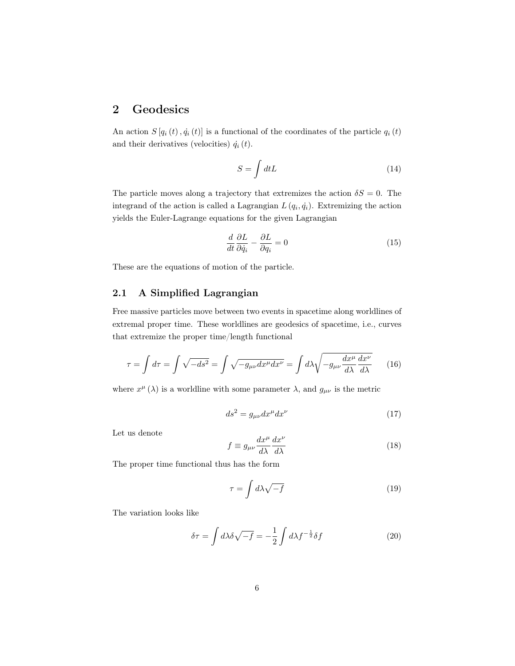### <span id="page-5-0"></span>2 Geodesics

An action  $S[q_i(t), \dot{q}_i(t)]$  is a functional of the coordinates of the particle  $q_i(t)$ and their derivatives (velocities)  $\dot{q}_i(t)$ .

$$
S = \int dt L \tag{14}
$$

The particle moves along a trajectory that extremizes the action  $\delta S = 0$ . The integrand of the action is called a Lagrangian  $L(q_i, \dot{q}_i)$ . Extremizing the action yields the Euler-Lagrange equations for the given Lagrangian

<span id="page-5-5"></span>
$$
\frac{d}{dt}\frac{\partial L}{\partial \dot{q}_i} - \frac{\partial L}{\partial q_i} = 0\tag{15}
$$

These are the equations of motion of the particle.

### <span id="page-5-1"></span>2.1 A Simplified Lagrangian

Free massive particles move between two events in spacetime along worldlines of extremal proper time. These worldlines are geodesics of spacetime, i.e., curves that extremize the proper time/length functional

$$
\tau = \int d\tau = \int \sqrt{-ds^2} = \int \sqrt{-g_{\mu\nu}dx^{\mu}dx^{\nu}} = \int d\lambda \sqrt{-g_{\mu\nu}\frac{dx^{\mu}}{d\lambda}\frac{dx^{\nu}}{d\lambda}} \qquad (16)
$$

where  $x^{\mu}(\lambda)$  is a worldline with some parameter  $\lambda$ , and  $g_{\mu\nu}$  is the metric

$$
ds^2 = g_{\mu\nu} dx^{\mu} dx^{\nu} \tag{17}
$$

Let us denote

<span id="page-5-4"></span>
$$
f \equiv g_{\mu\nu} \frac{dx^{\mu}}{d\lambda} \frac{dx^{\nu}}{d\lambda} \tag{18}
$$

The proper time functional thus has the form

<span id="page-5-3"></span>
$$
\tau = \int d\lambda \sqrt{-f} \tag{19}
$$

The variation looks like

<span id="page-5-2"></span>
$$
\delta \tau = \int d\lambda \delta \sqrt{-f} = -\frac{1}{2} \int d\lambda f^{-\frac{1}{2}} \delta f \tag{20}
$$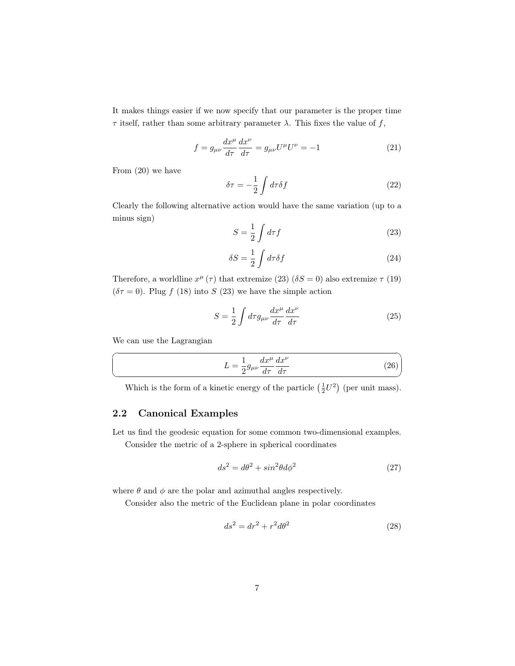It makes things easier if we now specify that our parameter is the proper time  $\tau$  itself, rather than some arbitrary parameter  $\lambda$ . This fixes the value of f,

$$
f = g_{\mu\nu} \frac{dx^{\mu}}{d\tau} \frac{dx^{\nu}}{d\tau} = g_{\mu\nu} U^{\mu} U^{\nu} = -1
$$
\n(21)

From [\(20\)](#page-5-2) we have

$$
\delta \tau = -\frac{1}{2} \int d\tau \delta f \tag{22}
$$

Clearly the following alternative action would have the same variation (up to a minus sign)

<span id="page-6-1"></span>
$$
S = \frac{1}{2} \int d\tau f \tag{23}
$$

$$
\delta S = \frac{1}{2} \int d\tau \delta f \tag{24}
$$

Therefore, a worldline  $x^{\mu}(\tau)$  that extremize [\(23\)](#page-6-1) ( $\delta S = 0$ ) also extremize  $\tau$  [\(19\)](#page-5-3)  $(\delta \tau = 0)$ . Plug f [\(18\)](#page-5-4) into S [\(23\)](#page-6-1) we have the simple action

$$
S = \frac{1}{2} \int d\tau g_{\mu\nu} \frac{dx^{\mu}}{d\tau} \frac{dx^{\nu}}{d\tau}
$$
 (25)

We can use the Lagrangian

☛

 $\searrow$ 

<span id="page-6-2"></span>
$$
L = \frac{1}{2} g_{\mu\nu} \frac{dx^{\mu}}{d\tau} \frac{dx^{\nu}}{d\tau}
$$
 (26)

✟

✠

Which is the form of a kinetic energy of the particle  $(\frac{1}{2}U^2)$  (per unit mass).

### <span id="page-6-0"></span>2.2 Canonical Examples

Let us find the geodesic equation for some common two-dimensional examples. Consider the metric of a 2-sphere in spherical coordinates

$$
ds^2 = d\theta^2 + \sin^2\theta d\phi^2 \tag{27}
$$

where  $\theta$  and  $\phi$  are the polar and azimuthal angles respectively.

Consider also the metric of the Euclidean plane in polar coordinates

$$
ds^2 = dr^2 + r^2 d\theta^2 \tag{28}
$$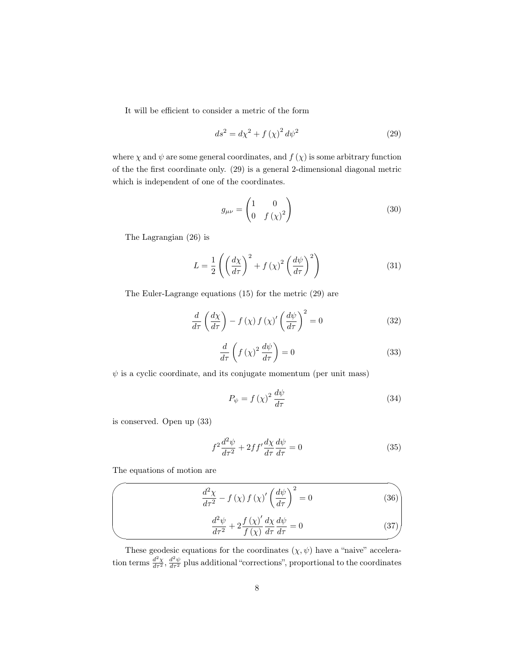It will be efficient to consider a metric of the form

<span id="page-7-0"></span>
$$
ds^2 = d\chi^2 + f\left(\chi\right)^2 d\psi^2\tag{29}
$$

where  $\chi$  and  $\psi$  are some general coordinates, and  $f(\chi)$  is some arbitrary function of the the first coordinate only. [\(29\)](#page-7-0) is a general 2-dimensional diagonal metric which is independent of one of the coordinates.

$$
g_{\mu\nu} = \begin{pmatrix} 1 & 0 \\ 0 & f(\chi)^2 \end{pmatrix} \tag{30}
$$

The Lagrangian [\(26\)](#page-6-2) is

$$
L = \frac{1}{2} \left( \left( \frac{d\chi}{d\tau} \right)^2 + f\left( \chi \right)^2 \left( \frac{d\psi}{d\tau} \right)^2 \right) \tag{31}
$$

The Euler-Lagrange equations [\(15\)](#page-5-5) for the metric [\(29\)](#page-7-0) are

$$
\frac{d}{d\tau}\left(\frac{d\chi}{d\tau}\right) - f\left(\chi\right)f\left(\chi\right)'\left(\frac{d\psi}{d\tau}\right)^2 = 0\tag{32}
$$

<span id="page-7-1"></span>
$$
\frac{d}{d\tau}\left(f\left(\chi\right)^2\frac{d\psi}{d\tau}\right) = 0\tag{33}
$$

 $\psi$  is a cyclic coordinate, and its conjugate momentum (per unit mass)

<span id="page-7-4"></span>
$$
P_{\psi} = f\left(\chi\right)^{2} \frac{d\psi}{d\tau} \tag{34}
$$

is conserved. Open up [\(33\)](#page-7-1)

$$
f^2 \frac{d^2 \psi}{d\tau^2} + 2ff' \frac{d\chi}{d\tau} \frac{d\psi}{d\tau} = 0
$$
\n(35)

The equations of motion are

 $\overline{\phantom{a}}$ 

 $\searrow$ 

<span id="page-7-2"></span>
$$
\frac{d^2\chi}{d\tau^2} - f\left(\chi\right)f\left(\chi\right)' \left(\frac{d\psi}{d\tau}\right)^2 = 0\tag{36}
$$

<span id="page-7-3"></span>
$$
\frac{d^2\psi}{d\tau^2} + 2\frac{f(\chi)'}{f(\chi)}\frac{d\chi}{d\tau}\frac{d\psi}{d\tau} = 0
$$
\n(37)

These geodesic equations for the coordinates  $(\chi, \psi)$  have a "naive" acceleration terms  $\frac{d^2\chi}{d\tau^2}$ ,  $\frac{d^2\psi}{d\tau^2}$  plus additional "corrections", proportional to the coordinates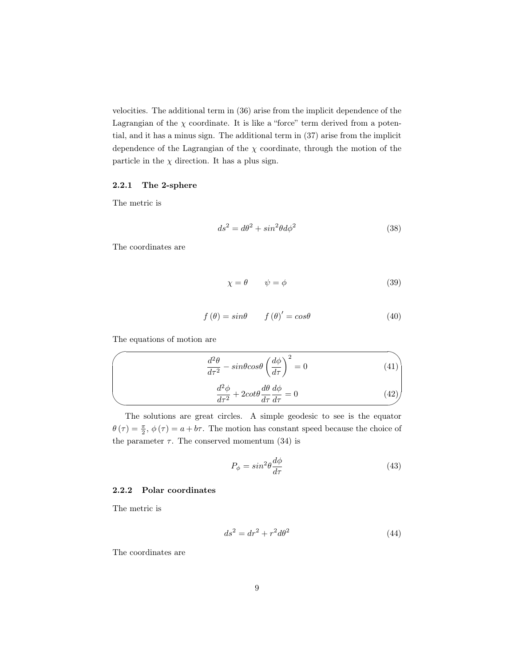velocities. The additional term in [\(36\)](#page-7-2) arise from the implicit dependence of the Lagrangian of the  $\chi$  coordinate. It is like a "force" term derived from a potential, and it has a minus sign. The additional term in [\(37\)](#page-7-3) arise from the implicit dependence of the Lagrangian of the  $\chi$  coordinate, through the motion of the particle in the  $\chi$  direction. It has a plus sign.

#### <span id="page-8-0"></span>2.2.1 The 2-sphere

The metric is

$$
ds^2 = d\theta^2 + \sin^2\theta d\phi^2 \tag{38}
$$

The coordinates are

$$
\chi = \theta \qquad \psi = \phi \tag{39}
$$

$$
f(\theta) = \sin\theta \qquad f(\theta)' = \cos\theta \tag{40}
$$

The equations of motion are

$$
\frac{d^2\theta}{d\tau^2} - sin\theta cos\theta \left(\frac{d\phi}{d\tau}\right)^2 = 0
$$
\n(41)\n
$$
\frac{d^2\phi}{d\tau^2} + 2cot\theta \frac{d\theta}{d\tau} \frac{d\phi}{d\tau} = 0
$$
\n(42)

The solutions are great circles. A simple geodesic to see is the equator  $\theta(\tau) = \frac{\pi}{2}, \phi(\tau) = a + b\tau$ . The motion has constant speed because the choice of the parameter  $\tau$ . The conserved momentum [\(34\)](#page-7-4) is

$$
P_{\phi} = \sin^2 \theta \frac{d\phi}{d\tau} \tag{43}
$$

#### <span id="page-8-1"></span>2.2.2 Polar coordinates

The metric is

$$
ds^2 = dr^2 + r^2 d\theta^2 \tag{44}
$$

The coordinates are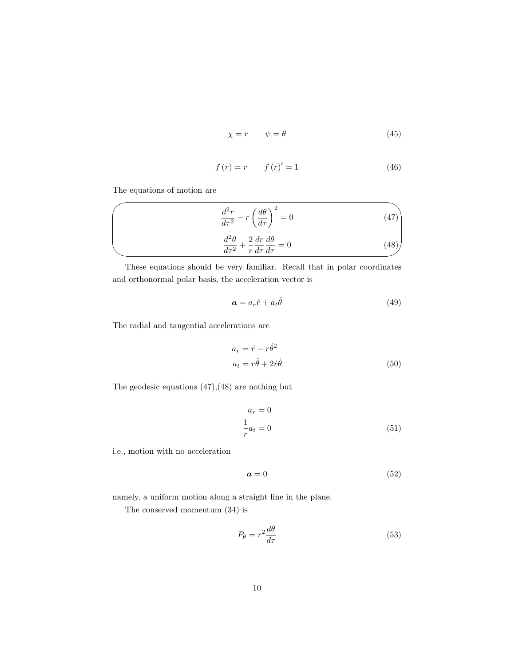$$
\chi = r \qquad \psi = \theta \tag{45}
$$

<span id="page-9-0"></span>
$$
f(r) = r \qquad f(r)' = 1 \tag{46}
$$

The equations of motion are

 $\overline{\phantom{a}}$ 

✣

$$
\frac{d^2r}{d\tau^2} - r\left(\frac{d\theta}{d\tau}\right)^2 = 0
$$
\n
$$
\frac{d^2\theta}{d\tau^2} + \frac{2}{r}\frac{dr}{d\tau}\frac{d\theta}{d\tau} = 0
$$
\n(48)

These equations should be very familiar. Recall that in polar coordinates and orthonormal polar basis, the acceleration vector is

<span id="page-9-1"></span>
$$
\boldsymbol{a} = a_r \hat{r} + a_t \hat{\theta} \tag{49}
$$

The radial and tangential accelerations are

$$
a_r = \ddot{r} - r\dot{\theta}^2
$$
  

$$
a_t = r\ddot{\theta} + 2\dot{r}\dot{\theta}
$$
 (50)

The geodesic equations [\(47\)](#page-9-0),[\(48\)](#page-9-1) are nothing but

$$
a_r = 0
$$
  

$$
\frac{1}{r}a_t = 0
$$
 (51)

i.e., motion with no acceleration

$$
a = 0 \tag{52}
$$

namely, a uniform motion along a straight line in the plane.

The conserved momentum [\(34\)](#page-7-4) is

$$
P_{\theta} = r^2 \frac{d\theta}{d\tau} \tag{53}
$$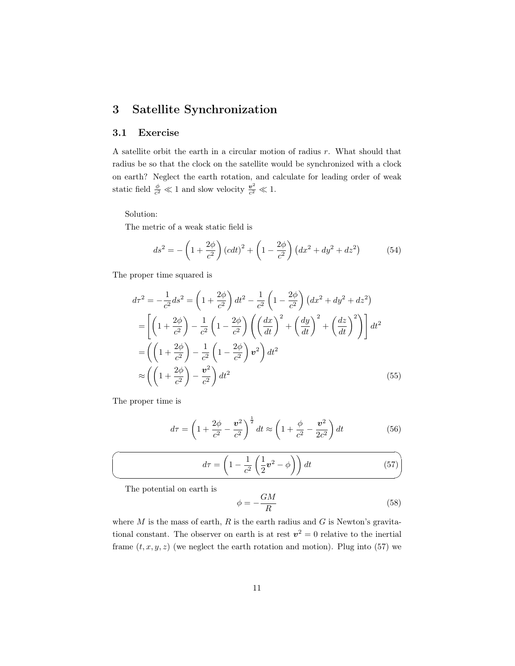### <span id="page-10-0"></span>3 Satellite Synchronization

### <span id="page-10-1"></span>3.1 Exercise

A satellite orbit the earth in a circular motion of radius r. What should that radius be so that the clock on the satellite would be synchronized with a clock on earth? Neglect the earth rotation, and calculate for leading order of weak static field  $\frac{\phi}{c^2} \ll 1$  and slow velocity  $\frac{v^2}{c^2}$  $\frac{v^2}{c^2} \ll 1.$ 

Solution:

The metric of a weak static field is

$$
ds^{2} = -\left(1 + \frac{2\phi}{c^{2}}\right)(cdt)^{2} + \left(1 - \frac{2\phi}{c^{2}}\right)(dx^{2} + dy^{2} + dz^{2})
$$
(54)

The proper time squared is

$$
d\tau^2 = -\frac{1}{c^2}ds^2 = \left(1 + \frac{2\phi}{c^2}\right)dt^2 - \frac{1}{c^2}\left(1 - \frac{2\phi}{c^2}\right)\left(dx^2 + dy^2 + dz^2\right)
$$
  
\n
$$
= \left[\left(1 + \frac{2\phi}{c^2}\right) - \frac{1}{c^2}\left(1 - \frac{2\phi}{c^2}\right)\left(\left(\frac{dx}{dt}\right)^2 + \left(\frac{dy}{dt}\right)^2 + \left(\frac{dz}{dt}\right)^2\right)\right]dt^2
$$
  
\n
$$
= \left(\left(1 + \frac{2\phi}{c^2}\right) - \frac{1}{c^2}\left(1 - \frac{2\phi}{c^2}\right)v^2\right)dt^2
$$
  
\n
$$
\approx \left(\left(1 + \frac{2\phi}{c^2}\right) - \frac{v^2}{c^2}\right)dt^2
$$
(55)

The proper time is

 $\overline{\phantom{0}}$ 

✍

<span id="page-10-2"></span>
$$
d\tau = \left(1 + \frac{2\phi}{c^2} - \frac{v^2}{c^2}\right)^{\frac{1}{2}} dt \approx \left(1 + \frac{\phi}{c^2} - \frac{v^2}{2c^2}\right) dt \tag{56}
$$

$$
d\tau = \left(1 - \frac{1}{c^2} \left(\frac{1}{2} \mathbf{v}^2 - \phi\right)\right) dt \tag{57}
$$

The potential on earth is

$$
\phi = -\frac{GM}{R} \tag{58}
$$

where  $M$  is the mass of earth,  $R$  is the earth radius and  $G$  is Newton's gravitational constant. The observer on earth is at rest  $v^2 = 0$  relative to the inertial frame  $(t, x, y, z)$  (we neglect the earth rotation and motion). Plug into [\(57\)](#page-10-2) we